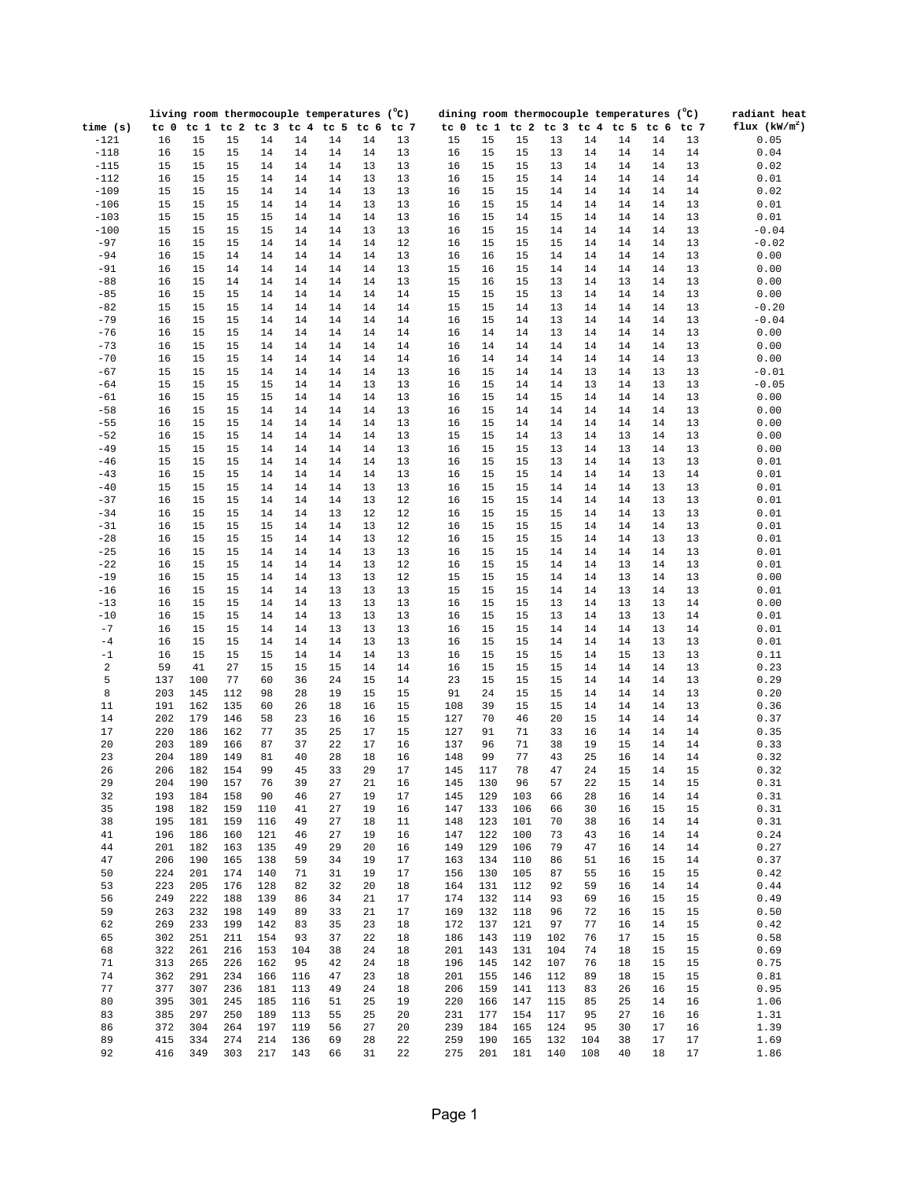|            |        | living room thermocouple temperatures (°C) |     |                               |     |    |    |      | dining room thermocouple temperatures (°C) |      |     |     |     |                     |                 |        | radiant heat    |
|------------|--------|--------------------------------------------|-----|-------------------------------|-----|----|----|------|--------------------------------------------|------|-----|-----|-----|---------------------|-----------------|--------|-----------------|
| time $(s)$ | tc 0   |                                            |     | tc 1 tc 2 tc 3 tc 4 tc 5 tc 6 |     |    |    | tc 7 | tc <sub>0</sub>                            | tc 1 |     |     |     | tc 2 tc 3 tc 4 tc 5 | tc <sub>6</sub> | tc 7   | flux $(kW/m^2)$ |
| $-121$     | 16     | 15                                         | 15  | 14                            | 14  | 14 | 14 | 13   | 15                                         | 15   | 15  | 13  | 14  | 14                  | 14              | 13     | 0.05            |
| $-118$     | 16     | 15                                         | 15  | 14                            | 14  | 14 | 14 | 13   | 16                                         | 15   | 15  | 13  | 14  | 14                  | 14              | 14     | 0.04            |
| $-115$     | 15     | 15                                         | 15  | 14                            | 14  | 14 | 13 | 13   | 16                                         | 15   | 15  | 13  | 14  | 14                  | 14              | 13     | 0.02            |
| $-112$     | 16     | 15                                         | 15  | 14                            | 14  | 14 | 13 | 13   | 16                                         | 15   | 15  | 14  | 14  | 14                  | 14              | 14     | 0.01            |
| $-109$     | 15     | 15                                         | 15  | 14                            | 14  | 14 | 13 | 13   | 16                                         | 15   | 15  | 14  | 14  | 14                  | 14              | 14     | 0.02            |
| $-106$     | 15     | 15                                         | 15  | 14                            | 14  | 14 | 13 | 13   | 16                                         | 15   | 15  | 14  | 14  | 14                  | 14              | 13     | 0.01            |
| $-103$     | $15\,$ | 15                                         | 15  | 15                            | 14  | 14 | 14 | 13   | 16                                         | 15   | 14  | 15  | 14  | 14                  | 14              | 13     | 0.01            |
| $-100$     | 15     | 15                                         | 15  | 15                            | 14  | 14 | 13 | 13   | 16                                         | 15   | 15  | 14  | 14  | 14                  | 14              | 13     | $-0.04$         |
| $-97$      | 16     | 15                                         | 15  | 14                            | 14  | 14 | 14 | 12   | 16                                         | 15   | 15  | 15  | 14  | 14                  | 14              | 13     | $-0.02$         |
| $-94$      | 16     | 15                                         | 14  | 14                            | 14  | 14 | 14 | 13   | 16                                         | 16   | 15  | 14  | 14  | 14                  | 14              | 13     | 0.00            |
|            |        |                                            |     |                               |     |    |    |      |                                            |      |     |     |     |                     |                 |        |                 |
| $-91$      | 16     | 15                                         | 14  | 14                            | 14  | 14 | 14 | 13   | 15                                         | 16   | 15  | 14  | 14  | 14                  | 14              | 13     | 0.00            |
| $-88$      | 16     | 15                                         | 14  | 14                            | 14  | 14 | 14 | 13   | 15                                         | 16   | 15  | 13  | 14  | 13                  | 14              | 13     | 0.00            |
| $-85$      | 16     | 15                                         | 15  | 14                            | 14  | 14 | 14 | 14   | 15                                         | 15   | 15  | 13  | 14  | 14                  | 14              | 13     | 0.00            |
| $-82$      | 15     | 15                                         | 15  | 14                            | 14  | 14 | 14 | 14   | 15                                         | 15   | 14  | 13  | 14  | 14                  | 14              | 13     | $-0.20$         |
| $-79$      | 16     | 15                                         | 15  | 14                            | 14  | 14 | 14 | 14   | 16                                         | 15   | 14  | 13  | 14  | 14                  | 14              | 13     | $-0.04$         |
| $-76$      | 16     | 15                                         | 15  | 14                            | 14  | 14 | 14 | 14   | 16                                         | 14   | 14  | 13  | 14  | 14                  | 14              | 13     | 0.00            |
| $-73$      | 16     | 15                                         | 15  | 14                            | 14  | 14 | 14 | 14   | 16                                         | 14   | 14  | 14  | 14  | 14                  | 14              | 13     | 0.00            |
| $-70$      | 16     | 15                                         | 15  | 14                            | 14  | 14 | 14 | 14   | 16                                         | 14   | 14  | 14  | 14  | 14                  | 14              | 13     | 0.00            |
| $-67$      | 15     | 15                                         | 15  | 14                            | 14  | 14 | 14 | 13   | 16                                         | 15   | 14  | 14  | 13  | 14                  | 13              | 13     | $-0.01$         |
| $-64$      | 15     | 15                                         | 15  | 15                            | 14  | 14 | 13 | 13   | 16                                         | 15   | 14  | 14  | 13  | 14                  | 13              | 13     | $-0.05$         |
| $-61$      | 16     | 15                                         | 15  | 15                            | 14  | 14 | 14 | 13   | 16                                         | 15   | 14  | 15  | 14  | 14                  | 14              | 13     | 0.00            |
| $-58$      | 16     | 15                                         | 15  | 14                            | 14  | 14 | 14 | 13   | 16                                         | 15   | 14  | 14  | 14  | 14                  | 14              | 13     | 0.00            |
| $-55$      | 16     | 15                                         | 15  | 14                            | 14  | 14 | 14 | 13   | 16                                         | 15   | 14  | 14  | 14  | 14                  | 14              | 13     | 0.00            |
| $-52$      | 16     | 15                                         | 15  | 14                            | 14  | 14 | 14 | 13   | 15                                         | 15   | 14  | 13  | 14  | 13                  | 14              | 13     | 0.00            |
| $-49$      | 15     | 15                                         | 15  | 14                            | 14  | 14 | 14 | 13   | 16                                         | 15   | 15  | 13  | 14  | 13                  | 14              | 13     | 0.00            |
|            |        |                                            |     |                               |     |    |    |      |                                            |      |     |     |     |                     |                 |        |                 |
| $-46$      | 15     | 15                                         | 15  | 14                            | 14  | 14 | 14 | 13   | 16                                         | 15   | 15  | 13  | 14  | 14                  | 13              | 13     | 0.01            |
| $-43$      | 16     | 15                                         | 15  | 14                            | 14  | 14 | 14 | 13   | 16                                         | 15   | 15  | 14  | 14  | 14                  | 13              | 14     | 0.01            |
| $-40$      | 15     | 15                                         | 15  | 14                            | 14  | 14 | 13 | 13   | 16                                         | 15   | 15  | 14  | 14  | 14                  | 13              | 13     | 0.01            |
| $-37$      | 16     | 15                                         | 15  | 14                            | 14  | 14 | 13 | 12   | 16                                         | 15   | 15  | 14  | 14  | 14                  | 13              | 13     | 0.01            |
| $-34$      | 16     | 15                                         | 15  | 14                            | 14  | 13 | 12 | 12   | 16                                         | 15   | 15  | 15  | 14  | 14                  | 13              | 13     | 0.01            |
| $-31$      | 16     | 15                                         | 15  | 15                            | 14  | 14 | 13 | 12   | 16                                         | 15   | 15  | 15  | 14  | 14                  | 14              | 13     | 0.01            |
| $-28$      | 16     | 15                                         | 15  | 15                            | 14  | 14 | 13 | 12   | 16                                         | 15   | 15  | 15  | 14  | 14                  | 13              | 13     | 0.01            |
| $-25$      | 16     | 15                                         | 15  | 14                            | 14  | 14 | 13 | 13   | 16                                         | 15   | 15  | 14  | 14  | 14                  | 14              | 13     | 0.01            |
| $-22$      | 16     | 15                                         | 15  | $14$                          | 14  | 14 | 13 | 12   | 16                                         | 15   | 15  | 14  | 14  | 13                  | 14              | 13     | 0.01            |
| $-19$      | 16     | 15                                         | 15  | 14                            | 14  | 13 | 13 | 12   | 15                                         | 15   | 15  | 14  | 14  | 13                  | 14              | 13     | 0.00            |
| $-16$      | 16     | 15                                         | 15  | 14                            | 14  | 13 | 13 | 13   | 15                                         | 15   | 15  | 14  | 14  | 13                  | 14              | 13     | 0.01            |
| $-13$      | 16     | 15                                         | 15  | 14                            | 14  | 13 | 13 | 13   | 16                                         | 15   | 15  | 13  | 14  | 13                  | 13              | 14     | 0.00            |
| $-10$      | 16     | 15                                         | 15  | 14                            | 14  | 13 | 13 | 13   | 16                                         | 15   | 15  | 13  | 14  | 13                  | 13              | 14     | 0.01            |
| $-7$       | 16     | 15                                         | 15  | 14                            | 14  | 13 | 13 | 13   | 16                                         | 15   | 15  | 14  | 14  | 14                  | 13              | 14     | 0.01            |
| $-4$       | 16     | 15                                         | 15  | 14                            | 14  | 14 | 13 | 13   | 16                                         | 15   | 15  | 14  | 14  | 14                  | 13              | 13     | 0.01            |
| $-1$       | 16     | 15                                         | 15  | 15                            | 14  | 14 | 14 | 13   | 16                                         | 15   | 15  | 15  | 14  | 15                  | 13              | 13     | 0.11            |
| $\sqrt{2}$ | 59     | 41                                         | 27  | 15                            | 15  | 15 | 14 | 14   | 16                                         | 15   | 15  | 15  | 14  | 14                  | 14              | 13     | 0.23            |
|            |        |                                            | 77  |                               | 36  |    |    |      |                                            |      |     |     |     |                     |                 |        |                 |
| 5          | 137    | 100                                        |     | 60                            |     | 24 | 15 | 14   | 23                                         | 15   | 15  | 15  | 14  | 14                  | 14              | 13     | 0.29            |
| 8          | 203    | 145                                        | 112 | 98                            | 28  | 19 | 15 | 15   | 91                                         | 24   | 15  | 15  | 14  | 14                  | 14              | 13     | 0.20            |
| 11         | 191    | 162                                        | 135 | 60                            | 26  | 18 | 16 | 15   | 108                                        | 39   | 15  | 15  | 14  | 14                  | 14              | 13     | 0.36            |
| 14         | 202    | 179                                        | 146 | 58                            | 23  | 16 | 16 | 15   | 127                                        | 70   | 46  | 20  | 15  | 14                  | 14              | 14     | 0.37            |
| 17         | 220    | 186                                        | 162 | 77                            | 35  | 25 | 17 | 15   | 127                                        | 91   | 71  | 33  | 16  | 14                  | 14              | 14     | 0.35            |
| 20         | 203    | 189                                        | 166 | 87                            | 37  | 22 | 17 | 16   | 137                                        | 96   | 71  | 38  | 19  | 15                  | 14              | 14     | 0.33            |
| 23         | 204    | 189                                        | 149 | 81                            | 40  | 28 | 18 | 16   | 148                                        | 99   | 77  | 43  | 25  | 16                  | 14              | 14     | 0.32            |
| 26         | 206    | 182                                        | 154 | 99                            | 45  | 33 | 29 | 17   | 145                                        | 117  | 78  | 47  | 24  | 15                  | 14              | 15     | 0.32            |
| 29         | 204    | 190                                        | 157 | 76                            | 39  | 27 | 21 | 16   | 145                                        | 130  | 96  | 57  | 22  | 15                  | 14              | 15     | 0.31            |
| 32         | 193    | 184                                        | 158 | 90                            | 46  | 27 | 19 | 17   | 145                                        | 129  | 103 | 66  | 28  | 16                  | 14              | 14     | 0.31            |
| 35         | 198    | 182                                        | 159 | 110                           | 41  | 27 | 19 | 16   | 147                                        | 133  | 106 | 66  | 30  | 16                  | 15              | 15     | 0.31            |
| 38         | 195    | 181                                        | 159 | 116                           | 49  | 27 | 18 | 11   | 148                                        | 123  | 101 | 70  | 38  | 16                  | 14              | 14     | 0.31            |
| 41         | 196    | 186                                        | 160 | 121                           | 46  | 27 | 19 | 16   | 147                                        | 122  | 100 | 73  | 43  | 16                  | 14              | 14     | 0.24            |
| 44         | 201    | 182                                        | 163 | 135                           | 49  | 29 | 20 | 16   | 149                                        | 129  | 106 | 79  | 47  | 16                  | 14              | 14     | 0.27            |
| 47         | 206    | 190                                        | 165 | 138                           | 59  | 34 | 19 | 17   | 163                                        | 134  | 110 | 86  | 51  | 16                  | 15              | 14     | 0.37            |
|            |        |                                            |     |                               |     |    |    |      |                                            |      |     |     |     |                     |                 |        |                 |
| 50         | 224    | 201                                        | 174 | 140                           | 71  | 31 | 19 | 17   | 156                                        | 130  | 105 | 87  | 55  | 16                  | 15              | 15     | 0.42            |
| 53         | 223    | 205                                        | 176 | 128                           | 82  | 32 | 20 | 18   | 164                                        | 131  | 112 | 92  | 59  | 16                  | 14              | 14     | 0.44            |
| 56         | 249    | 222                                        | 188 | 139                           | 86  | 34 | 21 | 17   | 174                                        | 132  | 114 | 93  | 69  | 16                  | 15              | 15     | 0.49            |
| 59         | 263    | 232                                        | 198 | 149                           | 89  | 33 | 21 | 17   | 169                                        | 132  | 118 | 96  | 72  | 16                  | 15              | 15     | 0.50            |
| 62         | 269    | 233                                        | 199 | 142                           | 83  | 35 | 23 | 18   | 172                                        | 137  | 121 | 97  | 77  | 16                  | 14              | 15     | 0.42            |
| 65         | 302    | 251                                        | 211 | 154                           | 93  | 37 | 22 | 18   | 186                                        | 143  | 119 | 102 | 76  | 17                  | 15              | 15     | 0.58            |
| 68         | 322    | 261                                        | 216 | 153                           | 104 | 38 | 24 | 18   | 201                                        | 143  | 131 | 104 | 74  | 18                  | 15              | 15     | 0.69            |
| 71         | 313    | 265                                        | 226 | 162                           | 95  | 42 | 24 | 18   | 196                                        | 145  | 142 | 107 | 76  | 18                  | 15              | 15     | 0.75            |
| 74         | 362    | 291                                        | 234 | 166                           | 116 | 47 | 23 | 18   | 201                                        | 155  | 146 | 112 | 89  | 18                  | 15              | 15     | 0.81            |
| 77         | 377    | 307                                        | 236 | 181                           | 113 | 49 | 24 | 18   | 206                                        | 159  | 141 | 113 | 83  | 26                  | 16              | 15     | 0.95            |
| 80         | 395    | 301                                        | 245 | 185                           | 116 | 51 | 25 | 19   | 220                                        | 166  | 147 | 115 | 85  | 25                  | 14              | 16     | 1.06            |
| 83         | 385    | 297                                        | 250 | 189                           | 113 | 55 | 25 | 20   | 231                                        | 177  | 154 | 117 | 95  | 27                  | 16              | 16     | 1.31            |
| 86         | 372    | 304                                        | 264 | 197                           | 119 | 56 | 27 | 20   | 239                                        | 184  | 165 | 124 | 95  | 30                  | 17              | 16     | 1.39            |
| 89         | 415    | 334                                        | 274 | 214                           | 136 | 69 | 28 | 22   | 259                                        | 190  | 165 | 132 | 104 | 38                  | 17              | 17     | 1.69            |
| 92         | 416    | 349                                        | 303 | 217                           |     | 66 | 31 | 22   | 275                                        | 201  | 181 | 140 | 108 | 40                  |                 | $17\,$ |                 |
|            |        |                                            |     |                               | 143 |    |    |      |                                            |      |     |     |     |                     | 18              |        | 1.86            |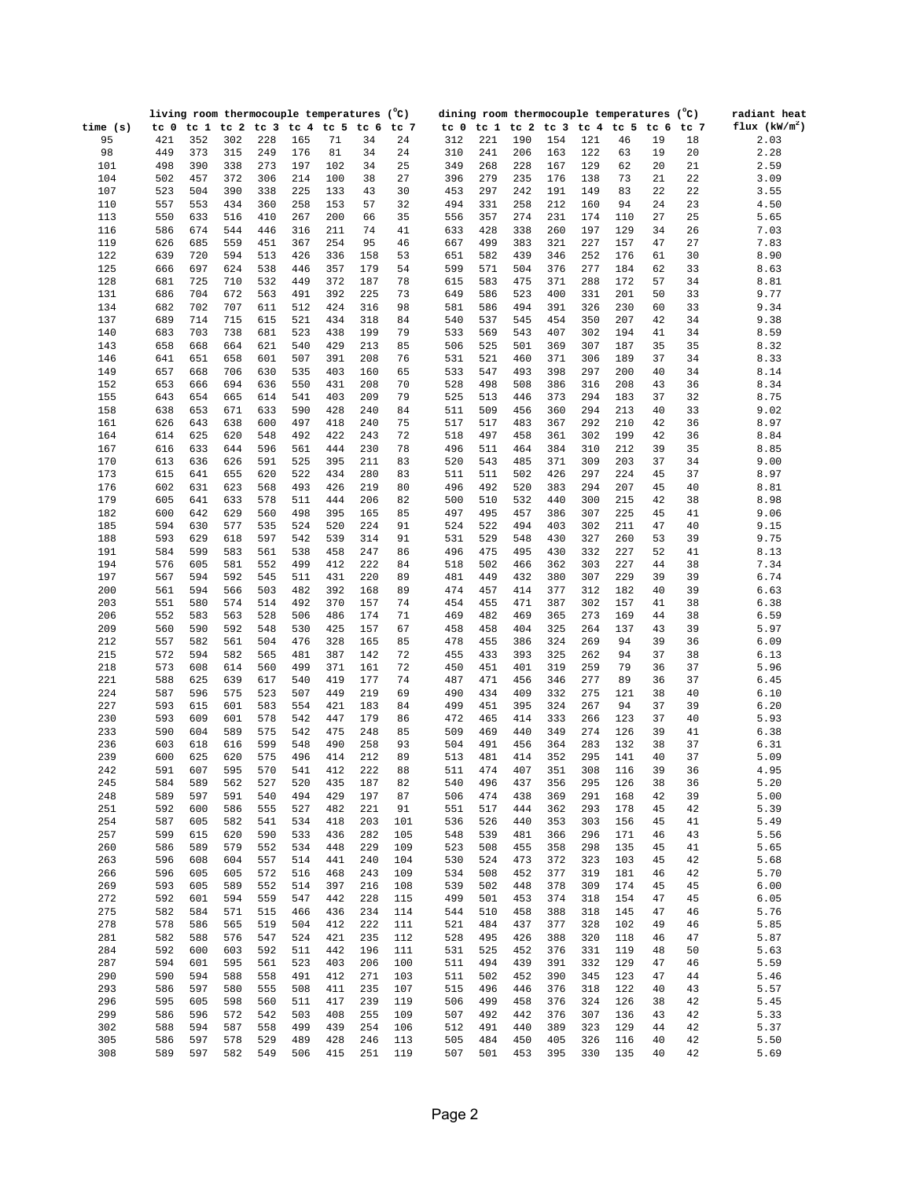|            |                 |                 |            | living room thermocouple temperatures (°C) |            |               |            |          |            |            |            |            |            | dining room thermocouple temperatures (°C) |                 |          | radiant heat    |
|------------|-----------------|-----------------|------------|--------------------------------------------|------------|---------------|------------|----------|------------|------------|------------|------------|------------|--------------------------------------------|-----------------|----------|-----------------|
| time $(s)$ | tc <sub>0</sub> | tc <sub>1</sub> |            | tc <sub>2</sub> tc <sub>3</sub>            |            | $tc$ 4 $tc$ 5 | tc 6       | tc 7     | tc 0       | tc 1       |            |            |            | tc 2 tc 3 tc 4 tc 5                        | tc <sub>6</sub> | tc 7     | flux $(kW/m^2)$ |
| 95         | 421             | 352             | 302        | 228                                        | 165        | 71            | 34         | 24       | 312        | 221        | 190        | 154        | 121        | 46                                         | 19              | 18       | 2.03            |
| 98         | 449             | 373             | 315        | 249                                        | 176        | 81            | 34         | 24       | 310        | 241        | 206        | 163        | 122        | 63                                         | 19              | 20       | 2.28            |
| 101        | 498             | 390             | 338        | 273                                        | 197        | 102           | 34         | 25       | 349        | 268        | 228        | 167        | 129        | 62                                         | 20              | 21       | 2.59            |
| 104        | 502             | 457             | 372        | 306                                        | 214        | 100           | 38         | 27       | 396        | 279        | 235        | 176        | 138        | 73                                         | 21              | 22       | 3.09            |
| 107        | 523             | 504             | 390        | 338                                        | 225        | 133           | 43         | 30       | 453        | 297        | 242        | 191        | 149        | 83                                         | 22              | 22       | 3.55            |
| 110        | 557             | 553             | 434        | 360                                        | 258        | 153           | 57         | 32       | 494        | 331        | 258        | 212        | 160        | 94                                         | 24              | 23       | 4.50            |
| 113        | 550             | 633             | 516        | 410                                        | 267        | 200           | 66         | 35       | 556        | 357        | 274        | 231        | 174        | 110                                        | 27              | 25       | 5.65            |
| 116        | 586             | 674             | 544        | 446                                        | 316        | 211           | 74         | 41       | 633        | 428        | 338        | 260        | 197        | 129                                        | 34              | 26       | 7.03            |
| 119        | 626             | 685             | 559        | 451                                        | 367        | 254           | 95         | 46       | 667        | 499        | 383        | 321        | 227        | 157                                        | 47              | 27       | 7.83            |
| 122        | 639             | 720             | 594        | 513                                        | 426        | 336           | 158        | 53       | 651        | 582        | 439        | 346        | 252        | 176                                        | 61              | 30       | 8.90            |
| 125        | 666             | 697             | 624        | 538                                        | 446        | 357           | 179        | 54       | 599        | 571        | 504        | 376        | 277        | 184                                        | 62              | 33       | 8.63            |
| 128        | 681             | 725             | 710        | 532                                        | 449        | 372           | 187        | 78       | 615        | 583        | 475        | 371        | 288        | 172                                        | 57              | 34       | 8.81            |
| 131        | 686             | 704             | 672        | 563                                        | 491        | 392           | 225        | 73       | 649        | 586        | 523        | 400        | 331        | 201                                        | 50              | 33       | 9.77            |
| 134        | 682             | 702             | 707        | 611                                        | 512        | 424           | 316        | 98       | 581        | 586        | 494        | 391        | 326        | 230                                        | 60              | 33       | 9.34            |
| 137        | 689             | 714             | 715        | 615                                        | 521        | 434           | 318        | 84       | 540        | 537        | 545        | 454        | 350        | 207                                        | 42              | 34       | 9.38            |
| 140        | 683             | 703             | 738        | 681                                        | 523        | 438           | 199        | 79       | 533        | 569        | 543        | 407        | 302        | 194                                        | 41              | 34       | 8.59            |
| 143        | 658             | 668             | 664        | 621                                        | 540        | 429           | 213        | 85       | 506        | 525        | 501        | 369        | 307        | 187                                        | 35              | 35       | 8.32            |
| 146        | 641             | 651             | 658        | 601                                        | 507        | 391           | 208        | 76       | 531        | 521        | 460        | 371        | 306        | 189                                        | 37              | 34       | 8.33            |
| 149        | 657             | 668             | 706        | 630                                        | 535        | 403           | 160        | 65       | 533        | 547        | 493        | 398        | 297        | 200                                        | 40              | 34       | 8.14            |
| 152        | 653             | 666             | 694        | 636                                        | 550        | 431           | 208        | 70       | 528        | 498        | 508        | 386        | 316        | 208                                        | 43              | 36       | 8.34            |
| 155        | 643             | 654             | 665        | 614                                        | 541        | 403           | 209        | 79       | 525        | 513        | 446        | 373        | 294        | 183                                        | 37              | 32       | 8.75            |
| 158        | 638             | 653             | 671        | 633                                        | 590        | 428           | 240        | 84       | 511        | 509        | 456        | 360        | 294        | 213                                        | 40              | 33       | 9.02            |
| 161        | 626             | 643             | 638        | 600<br>548                                 | 497<br>492 | 418           | 240<br>243 | 75<br>72 | 517        | 517        | 483        | 367        | 292<br>302 | 210                                        | 42<br>42        | 36       | 8.97            |
| 164<br>167 | 614             | 625             | 620<br>644 |                                            | 561        | 422           | 230        | 78       | 518<br>496 | 497        | 458        | 361<br>384 | 310        | 199                                        | 39              | 36<br>35 | 8.84            |
| 170        | 616<br>613      | 633<br>636      | 626        | 596<br>591                                 | 525        | 444<br>395    | 211        | 83       | 520        | 511<br>543 | 464<br>485 | 371        | 309        | 212<br>203                                 | 37              | 34       | 8.85<br>9.00    |
| 173        | 615             | 641             | 655        | 620                                        | 522        | 434           | 280        | 83       | 511        | 511        | 502        | 426        | 297        | 224                                        | 45              | 37       | 8.97            |
| 176        | 602             | 631             | 623        | 568                                        | 493        | 426           | 219        | 80       | 496        | 492        | 520        | 383        | 294        | 207                                        | 45              | 40       | 8.81            |
| 179        | 605             | 641             | 633        | 578                                        | 511        | 444           | 206        | 82       | 500        | 510        | 532        | 440        | 300        | 215                                        | 42              | 38       | 8.98            |
| 182        | 600             | 642             | 629        | 560                                        | 498        | 395           | 165        | 85       | 497        | 495        | 457        | 386        | 307        | 225                                        | 45              | 41       | 9.06            |
| 185        | 594             | 630             | 577        | 535                                        | 524        | 520           | 224        | 91       | 524        | 522        | 494        | 403        | 302        | 211                                        | 47              | 40       | 9.15            |
| 188        | 593             | 629             | 618        | 597                                        | 542        | 539           | 314        | 91       | 531        | 529        | 548        | 430        | 327        | 260                                        | 53              | 39       | 9.75            |
| 191        | 584             | 599             | 583        | 561                                        | 538        | 458           | 247        | 86       | 496        | 475        | 495        | 430        | 332        | 227                                        | 52              | 41       | 8.13            |
| 194        | 576             | 605             | 581        | 552                                        | 499        | 412           | 222        | 84       | 518        | 502        | 466        | 362        | 303        | 227                                        | 44              | 38       | 7.34            |
| 197        | 567             | 594             | 592        | 545                                        | 511        | 431           | 220        | 89       | 481        | 449        | 432        | 380        | 307        | 229                                        | 39              | 39       | 6.74            |
| 200        | 561             | 594             | 566        | 503                                        | 482        | 392           | 168        | 89       | 474        | 457        | 414        | 377        | 312        | 182                                        | 40              | 39       | 6.63            |
| 203        | 551             | 580             | 574        | 514                                        | 492        | 370           | 157        | 74       | 454        | 455        | 471        | 387        | 302        | 157                                        | 41              | 38       | 6.38            |
| 206        | 552             | 583             | 563        | 528                                        | 506        | 486           | 174        | 71       | 469        | 482        | 469        | 365        | 273        | 169                                        | 44              | 38       | 6.59            |
| 209        | 560             | 590             | 592        | 548                                        | 530        | 425           | 157        | 67       | 458        | 458        | 404        | 325        | 264        | 137                                        | 43              | 39       | 5.97            |
| 212        | 557             | 582             | 561        | 504                                        | 476        | 328           | 165        | 85       | 478        | 455        | 386        | 324        | 269        | 94                                         | 39              | 36       | 6.09            |
| 215        | 572             | 594             | 582        | 565                                        | 481        | 387           | 142        | 72       | 455        | 433        | 393        | 325        | 262        | 94                                         | 37              | 38       | 6.13            |
| 218        | 573             | 608             | 614        | 560                                        | 499        | 371           | 161        | 72       | 450        | 451        | 401        | 319        | 259        | 79                                         | 36              | 37       | 5.96            |
| 221        | 588             | 625             | 639        | 617                                        | 540        | 419           | 177        | 74       | 487        | 471        | 456        | 346        | 277        | 89                                         | 36              | 37       | 6.45            |
| 224        | 587             | 596             | 575        | 523                                        | 507        | 449           | 219        | 69       | 490        | 434        | 409        | 332        | 275        | 121                                        | 38              | 40       | 6.10            |
| 227        | 593             | 615             | 601        | 583                                        | 554        | 421           | 183        | 84       | 499        | 451        | 395        | 324        | 267        | 94                                         | 37              | 39       | 6.20            |
| 230        | 593             | 609             | 601        | 578                                        | 542        | 447           | 179        | 86       | 472        | 465        | 414        | 333        | 266        | 123                                        | 37              | 40       | 5.93            |
| 233        | 590             | 604             | 589        | 575                                        | 542        | 475           | 248        | 85       | 509        | 469        | 440        | 349        | 274        | 126                                        | 39              | 41       | 6.38            |
| 236        | 603             | 618             | 616        | 599                                        | 548        | 490           | 258        | 93       | 504        | 491        | 456        | 364        | 283        | 132                                        | 38              | 37       | 6.31            |
| 239        | 600             | 625             | 620        | 575                                        | 496        | 414           | 212        | 89       | 513        | 481        | 414        | 352        | 295        | 141                                        | 40              | 37       | 5.09            |
| 242        | 591             | 607             | 595        | 570                                        | 541        | 412           | 222        | 88       | 511        | 474        | 407        | 351        | 308        | 116                                        | 39              | 36       | 4.95            |
| 245        | 584             | 589             | 562        | 527                                        | 520        | 435           | 187        | 82       | 540        | 496        | 437        | 356        | 295        | 126                                        | 38              | 36       | 5.20            |
| 248        | 589             | 597             | 591        | 540                                        | 494        | 429           | 197        | 87       | 506        | 474        | 438        | 369        | 291        | 168                                        | 42              | 39       | 5.00            |
| 251        | 592             | 600             | 586        | 555                                        | 527        | 482           | 221        | 91       | 551        | 517        | 444        | 362        | 293        | 178                                        | 45              | 42       | 5.39            |
| 254        | 587             | 605             | 582        | 541                                        | 534        | 418           | 203        | 101      | 536        | 526        | 440        | 353        | 303        | 156                                        | 45              | 41       | 5.49            |
| 257        | 599             | 615             | 620        | 590                                        | 533        | 436           | 282        | 105      | 548        | 539        | 481        | 366        | 296        | 171                                        | 46              | 43       | 5.56            |
| 260        | 586             | 589             | 579        | 552                                        | 534        | 448           | 229        | 109      | 523        | 508        | 455        | 358        | 298        | 135                                        | 45              | 41       | 5.65            |
| 263        | 596             | 608             | 604        | 557                                        | 514        | 441           | 240        | 104      | 530        | 524        | 473        | 372        | 323        | 103                                        | 45              | 42       | 5.68            |
| 266        | 596             | 605             | 605        | 572                                        | 516        | 468           | 243        | 109      | 534        | 508        | 452        | 377        | 319        | 181                                        | 46              | 42       | 5.70            |
| 269        | 593             | 605             | 589        | 552                                        | 514        | 397           | 216        | 108      | 539        | 502        | 448        | 378        | 309        | 174                                        | 45              | 45       | 6.00            |
| 272        | 592             | 601             | 594        | 559                                        | 547        | 442           | 228        | 115      | 499        | 501        | 453        | 374        | 318        | 154                                        | 47              | 45       | 6.05            |
| 275        | 582             | 584             | 571        | 515                                        | 466        | 436           | 234        | 114      | 544        | 510        | 458        | 388        | 318        | 145                                        | 47              | 46       | 5.76            |
| 278        | 578             | 586             | 565        | 519                                        | 504        | 412           | 222        | 111      | 521        | 484        | 437        | 377        | 328        | 102                                        | 49              | 46       | 5.85            |
| 281        | 582             | 588             | 576        | 547                                        | 524        | 421           | 235        | 112      | 528        | 495        | 426        | 388        | 320        | 118                                        | 46              | 47       | 5.87            |
| 284        | 592             | 600             | 603        | 592                                        | 511        | 442           | 196        | 111      | 531        | 525        | 452        | 376        | 331        | 119                                        | 48              | 50       | 5.63            |
| 287        | 594             | 601             | 595        | 561                                        | 523        | 403           | 206        | 100      | 511        | 494        | 439        | 391        | 332        | 129                                        | 47              | 46       | 5.59            |
| 290        | 590             | 594             | 588        | 558                                        | 491        | 412           | 271        | 103      | 511        | 502        | 452        | 390        | 345        | 123                                        | 47              | 44       | 5.46            |
| 293        | 586             | 597             | 580        | 555                                        | 508        | 411           | 235        | 107      | 515        | 496        | 446        | 376        | 318        | 122                                        | 40              | 43       | 5.57            |
| 296        | 595             | 605             | 598        | 560                                        | 511        | 417           | 239        | 119      | 506        | 499        | 458        | 376        | 324        | 126                                        | 38              | 42       | 5.45            |
| 299        | 586             | 596             | 572        | 542                                        | 503        | 408           | 255        | 109      | 507        | 492        | 442        | 376        | 307        | 136                                        | 43              | 42       | 5.33            |
| 302        | 588             | 594             | 587        | 558                                        | 499        | 439           | 254        | 106      | 512        | 491        | 440        | 389        | 323        | 129                                        | 44              | 42       | 5.37            |
| 305        | 586             | 597             | 578        | 529                                        | 489        | 428           | 246        | 113      | 505        | 484        | 450        | 405        | 326        | 116                                        | 40              | 42       | 5.50            |
| 308        | 589             | 597             | 582        | 549                                        | 506        | 415           | 251        | 119      | 507        | 501        | 453        | 395        | 330        | 135                                        | 40              | 42       | 5.69            |